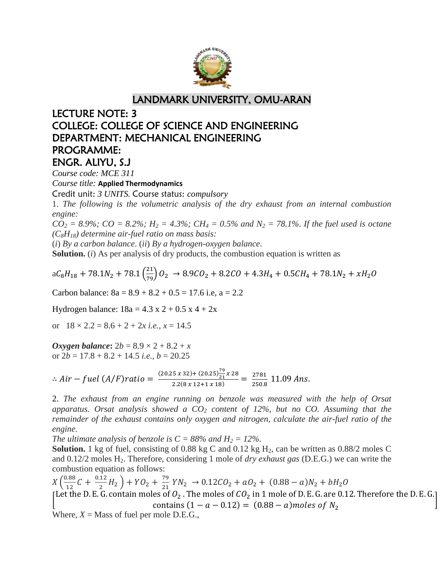

## LANDMARK UNIVERSITY, OMU-ARAN

## LECTURE NOTE: 3 COLLEGE: COLLEGE OF SCIENCE AND ENGINEERING DEPARTMENT: MECHANICAL ENGINEERING PROGRAMME: ENGR. ALIYU, S.J

*Course code: MCE 311*

*Course title:* **Applied Thermodynamics**

Credit unit: *3 UNITS.* Course status: *compulsory*

1. *The following is the volumetric analysis of the dry exhaust from an internal combustion engine:*

 $CO_2 = 8.9\%$ ;  $CO = 8.2\%$ ;  $H_2 = 4.3\%$ ;  $CH_4 = 0.5\%$  and  $N_2 = 78.1\%$ . If the fuel used is octane *(C8H18) determine air-fuel ratio on mass basis:*

(*i*) *By a carbon balance*. (*ii*) *By a hydrogen-oxygen balance*.

**Solution.** (*i*) As per analysis of dry products, the combustion equation is written as

$$
aC_8H_{18} + 78.1N_2 + 78.1\left(\frac{21}{79}\right)O_2 \rightarrow 8.9CO_2 + 8.2CO + 4.3H_4 + 0.5CH_4 + 78.1N_2 + xH_2O
$$

Carbon balance:  $8a = 8.9 + 8.2 + 0.5 = 17.6$  i.e,  $a = 2.2$ 

Hydrogen balance:  $18a = 4.3 \times 2 + 0.5 \times 4 + 2x$ 

or  $18 \times 2.2 = 8.6 + 2 + 2x$  *i.e.*,  $x = 14.5$ 

*Oxygen balance***:**  $2b = 8.9 \times 2 + 8.2 + x$ or  $2b = 17.8 + 8.2 + 14.5$  *i.e.*,  $b = 20.25$ 

: Air – fuel (A/F)ratio =  $\frac{(20.25 x 32)+(20.25)^2}{2.2(9 x 12)+4 x 12}$  $\frac{7}{21}x$  $\frac{5 \times 32 + (20.25)_{21} \times 28}{2.2(8 \times 12 + 1 \times 18)} = \frac{2}{2}$  $\frac{2761}{250.8}$  1

2. *The exhaust from an engine running on benzole was measured with the help of Orsat apparatus. Orsat analysis showed a CO<sup>2</sup> content of 12%, but no CO. Assuming that the remainder of the exhaust contains only oxygen and nitrogen, calculate the air-fuel ratio of the engine*.

*The ultimate analysis of benzole is*  $C = 88\%$  *and*  $H_2 = 12\%$ .

**Solution.** 1 kg of fuel, consisting of 0.88 kg C and 0.12 kg  $H_2$ , can be written as 0.88/2 moles C and 0.12/2 moles H2. Therefore, considering 1 mole of *dry exhaust gas* (D.E.G.) we can write the combustion equation as follows:

 $X\left(\frac{0}{2}\right)$  $\frac{0.88}{12}C + \frac{0}{2}$  $\frac{12}{2}H_2$  +  $YO_2$  +  $\frac{7}{2}$  $\frac{79}{21}$  YN<sub>2</sub>  $\rightarrow$  0.12CO<sub>2</sub> + aO<sub>2</sub> + (0.88 – a)N [ L contains  $(1 - a - 0.12) = (0.88 - a)$  moles of  $N_2$ 

]

Where,  $X =$  Mass of fuel per mole D.E.G.,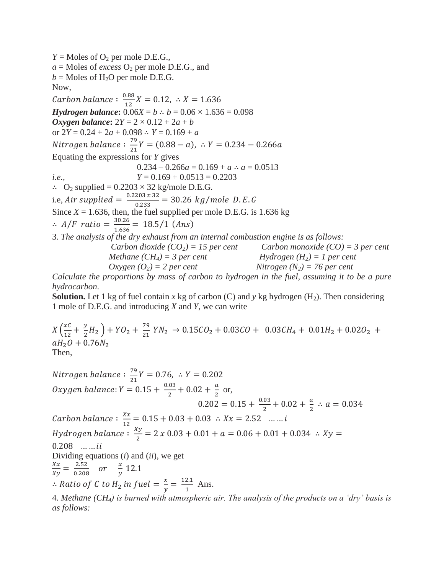$Y =$  Moles of  $O_2$  per mole D.E.G.,  $a =$  Moles of *excess*  $O_2$  per mole D.E.G., and  $b =$  Moles of H<sub>2</sub>O per mole D.E.G. Now, Carbon balance :  $\frac{0}{2}$  $\frac{100}{12}X$ *Hydrogen balance***:**  $0.06X = b \div b = 0.06 \times 1.636 = 0.098$ *Oxygen balance***:**  $2Y = 2 \times 0.12 + 2a + b$ or  $2Y = 0.24 + 2a + 0.098 \div Y = 0.169 + a$ Nitrogen balance :  $\frac{7}{3}$  $\frac{79}{21}Y = (0.88 - a),$ Equating the expressions for *Y* gives  $0.234 - 0.266a = 0.169 + a \div a = 0.0513$ *i.e.*,  $Y = 0.169 + 0.0513 = 0.2203$  $\therefore$  O<sub>2</sub> supplied = 0.2203  $\times$  32 kg/mole D.E.G. i.e, Air supplied  $=\frac{0}{\tau}$  $\frac{203 \times 32}{0.233} = 30.26 \text{ kg/m}$ Since  $X = 1.636$ , then, the fuel supplied per mole D.E.G. is 1.636 kg  $\therefore$  A/F ratio =  $\frac{3}{4}$  $\frac{30.28}{1.636}$  = 18.5/1 (*Ans*) 3. *The analysis of the dry exhaust from an internal combustion engine is as follows: Carbon dioxide (CO2) = 15 per cent Carbon monoxide (CO) = 3 per cent Methane*  $(CH_4) = 3$  *per cent*  $Hydrogen$   $(H_2) = 1$  *per cent*  $Oxygen (O_2) = 2 per cent$  *Nitrogen*  $(N_2) = 76 per cent$ 

*Calculate the proportions by mass of carbon to hydrogen in the fuel, assuming it to be a pure hydrocarbon*.

**Solution.** Let 1 kg of fuel contain *x* kg of carbon (C) and *y* kg hydrogen (H<sub>2</sub>). Then considering 1 mole of D.E.G. and introducing *X* and *Y*, we can write

 $X\left(\frac{x}{4}\right)$  $\frac{xC}{12} + \frac{y}{2}$  $\frac{y}{2}H_2$  + YO<sub>2</sub> +  $\frac{7}{2}$  $\frac{75}{21}Y$  $aH_2O + 0.76N_2$ Then,

Nitrogen balance :  $\frac{7}{3}$  $\frac{75}{21}Y$ Oxygen balance: Y  $=0.15+\frac{0}{2}$  $\frac{.03}{2} + 0.02 + \frac{a}{2}$  $\frac{a}{2}$  or,  $\mathbf{0}$  $\frac{.03}{2} + 0.02 + \frac{a}{2}$  $\frac{a}{2}$  : Carbon balance :  $\frac{X}{4}$  $\frac{\Delta x}{12} =$ Hydrogen balance  $: \frac{X}{\sqrt{2}}$  $rac{y}{2}$  =  $0.208$  ... ... *ii* Dividing equations (*i*) and (*ii*), we get X  $\frac{Xx}{Xy} = \frac{2}{0}$  $\frac{2.52}{0.208}$  or  $\frac{x}{y}$  $\frac{x}{y}$  1  $\therefore$  Ratio of C to H<sub>2</sub> in fuel =  $\frac{x}{y}$  $\frac{x}{y} = \frac{1}{y}$  $\frac{2.1}{1}$  Ans.

4. *Methane (CH4) is burned with atmospheric air. The analysis of the products on a 'dry' basis is as follows:*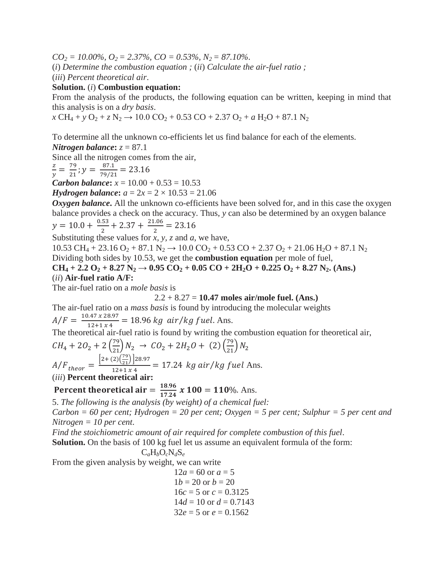*CO<sup>2</sup> = 10.00%, O2 = 2.37%, CO = 0.53%, N2 = 87.10%*.

(*i*) *Determine the combustion equation ;* (*ii*) *Calculate the air-fuel ratio ;*

(*iii*) *Percent theoretical air*.

#### **Solution.** (*i*) **Combustion equation:**

From the analysis of the products, the following equation can be written, keeping in mind that this analysis is on a *dry basis*.

 $\chi$  CH<sub>4</sub> + *y* O<sub>2</sub> +  $\chi$  N<sub>2</sub>  $\rightarrow$  10.0 CO<sub>2</sub> + 0.53 CO + 2.37 O<sub>2</sub> + *a* H<sub>2</sub>O + 87.1 N<sub>2</sub>

To determine all the unknown co-efficients let us find balance for each of the elements.

*Nitrogen balance***:**  $z = 87.1$ 

Since all the nitrogen comes from the air,

$$
\frac{z}{y} = \frac{79}{21}; y = \frac{87.1}{79/21} = 23.16
$$

*Carbon balance***:**  $x = 10.00 + 0.53 = 10.53$ 

*Hydrogen balance***:**  $a = 2x = 2 \times 10.53 = 21.06$ 

**Oxygen balance.** All the unknown co-efficients have been solved for, and in this case the oxygen balance provides a check on the accuracy. Thus, *y* can also be determined by an oxygen balance  $y = 10.0 + \frac{0}{x}$  $\frac{.53}{2}$  + 2.37 +  $\frac{2}{7}$  $\frac{100}{2}$  =

Substituting these values for *x, y, z* and *a*, we have,

 $10.53 \text{ CH}_4 + 23.16 \text{ O}_2 + 87.1 \text{ N}_2 \rightarrow 10.0 \text{ CO}_2 + 0.53 \text{ CO} + 2.37 \text{ O}_2 + 21.06 \text{ H}_2\text{O} + 87.1 \text{ N}_2$ Dividing both sides by 10.53, we get the **combustion equation** per mole of fuel, **CH**<sub>4</sub> + 2.2 O<sub>2</sub> + 8.27 N<sub>2</sub>  $\rightarrow$  0.95 CO<sub>2</sub> + 0.05 CO + 2H<sub>2</sub>O + 0.225 O<sub>2</sub> + 8.27 N<sub>2</sub>**.** (Ans.) (*ii*) **Air-fuel ratio A/F:**

The air-fuel ratio on a *mole basis* is

$$
2.2 + 8.27 = 10.47
$$
 moles air/mole fuel. (Ans.)

The air-fuel ratio on a *mass basis* is found by introducing the molecular weights

 $A/F = \frac{1}{2}$  $\frac{1.47 \times 26.97}{12+1 \times 4}$  = 18.96 kg air/kg fuel. Ans.

The theoretical air-fuel ratio is found by writing the combustion equation for theoretical air,

$$
CH_4 + 2O_2 + 2\left(\frac{79}{21}\right)N_2 \rightarrow CO_2 + 2H_2O + (2)\left(\frac{79}{21}\right)N_2
$$
  

$$
A/F_{theor} = \frac{\left[2 + (2)\left(\frac{79}{21}\right)\right]28.97}{12 + 1 \times 4} = 17.24 \text{ kg air/kg fuel Ans.}
$$

(*iii*) **Percent theoretical air:**

**Percent theoretical air** = 
$$
\frac{18.96}{17.24}
$$
 x 100 = 110%. Ans.

5. *The following is the analysis (by weight) of a chemical fuel:*

*Carbon = 60 per cent; Hydrogen = 20 per cent; Oxygen = 5 per cent; Sulphur = 5 per cent and Nitrogen = 10 per cent*.

*Find the stoichiometric amount of air required for complete combustion of this fuel*.

**Solution.** On the basis of 100 kg fuel let us assume an equivalent formula of the form:

$$
C_aH_bO_cN_dS_e
$$

From the given analysis by weight, we can write

$$
12a = 60 \text{ or } a = 5
$$
  
\n
$$
1b = 20 \text{ or } b = 20
$$
  
\n
$$
16c = 5 \text{ or } c = 0.3125
$$
  
\n
$$
14d = 10 \text{ or } d = 0.7143
$$
  
\n
$$
32e = 5 \text{ or } e = 0.1562
$$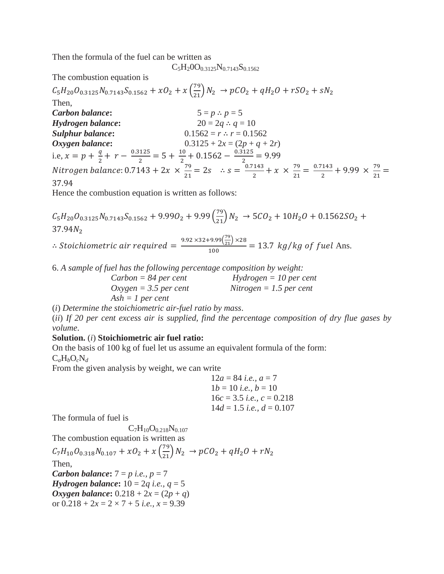Then the formula of the fuel can be written as

 $C_5H_2OO_{0.3125}N_{0.7143}S_{0.1562}$ 

The combustion equation is

 $C_5H_{20}O_{0.3125}N_{0.7143}S_{0.1562} + xO_2 + x\left(\frac{79}{21}\right)N_1$ Then, *Carbon balance*:  $5 = p \div p = 5$ *Hydrogen balance*:  $20 = 2q \div q = 10$ *Sulphur balance***:** 0.1562 = *r* ∴ *r* = 0.1562 *Oxygen balance*:  $0.3125 + 2x = (2p + q + 2r)$ i.e,  $x = p + \frac{q}{q}$  $\frac{q}{2} + r - \frac{0}{r}$  $\frac{125}{2} = 5 + \frac{1}{2}$  $\frac{10}{2} + 0.1562 - \frac{0}{2}$  $\frac{125}{2}$  = Nitrogen balance: 0.7143 + 2x  $\times \frac{7}{3}$  $\frac{79}{21} = 2s$   $\therefore s = \frac{0}{s}$  $\frac{143}{2} + x \times \frac{7}{2}$  $\frac{79}{21} = \frac{0}{1}$  $\frac{7}{2}$  + 9.99  $\times$   $\frac{7}{2}$  $\frac{75}{21}$  = 37.94

Hence the combustion equation is written as follows:

 $C_5H_{20}O_{0.3125}N_{0.7143}S_{0.1562}+9.99O_2+9.99\left(\frac{79}{21}\right)N_1$  $37.94N_2$ 

: Stoichiometric air required =  $\frac{9.92\times32+9.99(\frac{79}{21})\times}{100}$  $\frac{3.97}{100}$  (21)<sup>1123</sup> = 13.7 kg/kg of fuel Ans.

6. *A sample of fuel has the following percentage composition by weight:*

| $Carbon = 84$ per cent  | $Hydrogen = 10$ per cent  |
|-------------------------|---------------------------|
| $Oxygen = 3.5$ per cent | $Nitrogen = 1.5$ per cent |
| $Ash = 1$ per cent      |                           |

(*i*) *Determine the stoichiometric air-fuel ratio by mass*.

(*ii*) *If 20 per cent excess air is supplied, find the percentage composition of dry flue gases by volume*.

### **Solution.** (*i*) **Stoichiometric air fuel ratio:**

On the basis of 100 kg of fuel let us assume an equivalent formula of the form:  $C_aH_bO_cN_d$ 

From the given analysis by weight, we can write

$$
12a = 84 \text{ i.e., } a = 7
$$
  
\n
$$
1b = 10 \text{ i.e., } b = 10
$$
  
\n
$$
16c = 3.5 \text{ i.e., } c = 0.218
$$
  
\n
$$
14d = 1.5 \text{ i.e., } d = 0.107
$$

The formula of fuel is

 $C_7H_{10}O_{0.218}N_{0.107}$ 

The combustion equation is written as

 $C_7H_{10}O_{0.318}N_{0.107} + xO_2 + x\left(\frac{79}{21}\right)N_1$ Then, *Carbon balance***:** 7 = *p i.e., p* = 7 *Hydrogen balance***:** 10 = 2*q i.e., q* = 5 *Oxygen balance***:**  $0.218 + 2x = (2p + q)$ or  $0.218 + 2x = 2 \times 7 + 5$  *i.e.*,  $x = 9.39$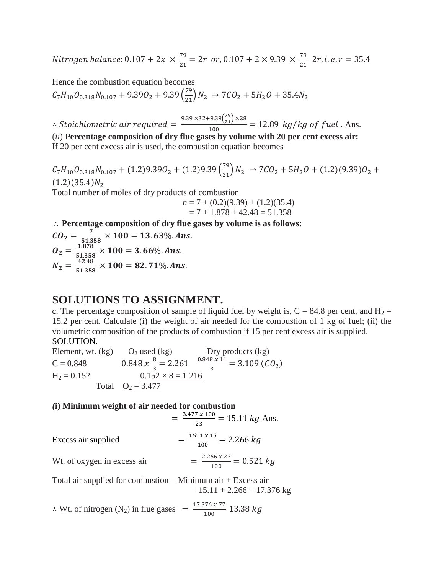Nitrogen balance:  $0.107 + 2x \times \frac{7}{2}$  $\frac{79}{21}$  = 2r or, 0.107 + 2 × 9.39 ×  $\frac{7}{2}$  $\frac{75}{21}$  2

Hence the combustion equation becomes

 $C_7H_{10}O_{0.318}N_{0.107} + 9.39O_2 + 9.39\left(\frac{79}{21}\right)N_1$ 

: Stoichiometric air required =  $\frac{9.39 \times 32 + 9.39(\frac{79}{21}) \times}{400}$  $\frac{100}{100}$  = 12.89 kg/kg of fuel. Ans. (*ii*) **Percentage composition of dry flue gases by volume with 20 per cent excess air:** If 20 per cent excess air is used, the combustion equation becomes

 $C_7H_{10}O_{0.318}N_{0.107} + (1.2)9.39O_2 + (1.2)9.39\left(\frac{79}{21}\right)N_2 \rightarrow 7CO_2 + 5H_2O + (1.2)(9.39)O$  $(1.2)(35.4)N<sub>2</sub>$ 

Total number of moles of dry products of combustion

 $n = 7 + (0.2)(9.39) + (1.2)(35.4)$  $= 7 + 1.878 + 42.48 = 51.358$ 

**Percentage composition of dry flue gases by volume is as follows:**

 $CO_2 = \frac{7}{51.2}$  $\frac{7}{51.358}$   $\times$  $\bm{0}_2 = \frac{1}{54}$  $\frac{1.676}{51.358}$  ×  $N_2 = \frac{4}{54}$  $\frac{42.46}{51.358}$  X

# **SOLUTIONS TO ASSIGNMENT.**

c. The percentage composition of sample of liquid fuel by weight is,  $C = 84.8$  per cent, and  $H_2 =$ 15.2 per cent. Calculate (i) the weight of air needed for the combustion of 1 kg of fuel; (ii) the volumetric composition of the products of combustion if 15 per cent excess air is supplied. SOLUTION.

Element, wt.  $(kg)$  O<sub>2</sub> used  $(kg)$  Dry products  $(kg)$  $C = 0.848$ 8  $\frac{8}{3}$  = 2.261  $\frac{0}{2}$  $\frac{6 \times 11}{3}$  = 3.109 (CO<sub>2</sub>)  $H_2 = 0.152$   $\underline{0.152 \times 8} = 1.216$ Total  $Q_2 = 3.477$ 

#### *(***i) Minimum weight of air needed for combustion**  $2.177 \times 100$

$$
= \frac{3.477 \times 100}{23} = 15.11 \text{ kg Ans.}
$$
  
Excess air supplied 
$$
= \frac{1511 \times 15}{100} = 2.266 \text{ kg}
$$
  
Wt. of oxygen in excess air 
$$
= \frac{2.266 \times 23}{100} = 0.521 \text{ kg}
$$

Total air supplied for combustion  $=$  Minimum air  $+$  Excess air  $= 15.11 + 2.266 = 17.376$  kg

 $\therefore$  Wt. of nitrogen (N<sub>2</sub>) in flue gases =  $\frac{1}{2}$  $\frac{100\times11}{100}$  1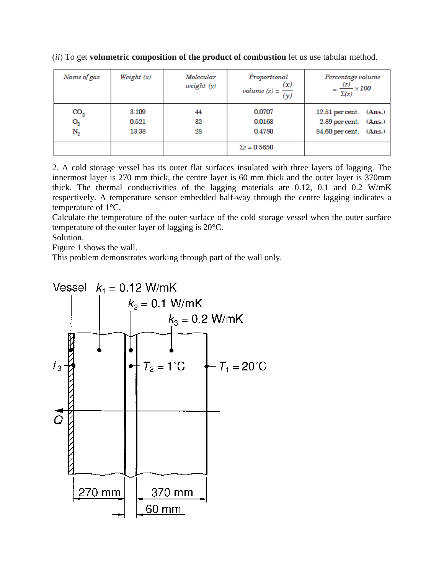| Name of gas                             | Weight $(x)$            | Molecular<br>weight $(y)$ | Proportional<br>(x)<br>volume (z) = $\frac{1}{(y)}$ | Percentage volume<br>$=\frac{(z)}{\Sigma(z)}\times 100$                       |
|-----------------------------------------|-------------------------|---------------------------|-----------------------------------------------------|-------------------------------------------------------------------------------|
| $\mathrm{CO}_2$<br>$O_{2}$<br>$\rm N_2$ | 3.109<br>0.521<br>13.38 | 44<br>32<br>28            | 0.0707<br>0.0163<br>0.4780                          | $12.51$ per cent. $(Ans.)$<br>2.89 per cent. (Ans.)<br>84.60 per cent. (Ans.) |
|                                         |                         |                           | $\Sigma z = 0.5650$                                 |                                                                               |

(*ii*) To get **volumetric composition of the product of combustion** let us use tabular method.

2. A cold storage vessel has its outer flat surfaces insulated with three layers of lagging. The innermost layer is 270 mm thick, the centre layer is 60 mm thick and the outer layer is 370mm thick. The thermal conductivities of the lagging materials are 0.12, 0.1 and 0.2 W/mK respectively. A temperature sensor embedded half-way through the centre lagging indicates a temperature of 1°C.

Calculate the temperature of the outer surface of the cold storage vessel when the outer surface temperature of the outer layer of lagging is 20°C.

Solution.

Figure 1 shows the wall.

This problem demonstrates working through part of the wall only.